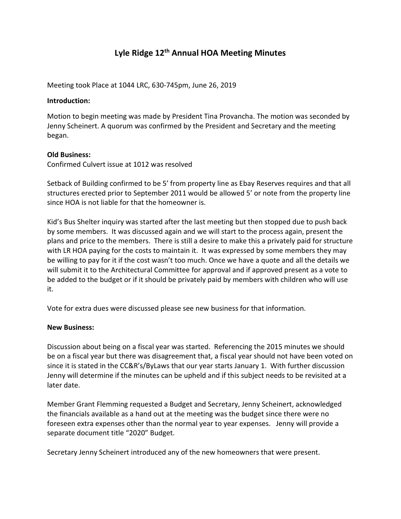# Lyle Ridge 12<sup>th</sup> Annual HOA Meeting Minutes

Meeting took Place at 1044 LRC, 630-745pm, June 26, 2019

### Introduction:

Motion to begin meeting was made by President Tina Provancha. The motion was seconded by Jenny Scheinert. A quorum was confirmed by the President and Secretary and the meeting began.

## Old Business:

Confirmed Culvert issue at 1012 was resolved

Setback of Building confirmed to be 5' from property line as Ebay Reserves requires and that all structures erected prior to September 2011 would be allowed 5' or note from the property line since HOA is not liable for that the homeowner is.

Kid's Bus Shelter inquiry was started after the last meeting but then stopped due to push back by some members. It was discussed again and we will start to the process again, present the plans and price to the members. There is still a desire to make this a privately paid for structure with LR HOA paying for the costs to maintain it. It was expressed by some members they may be willing to pay for it if the cost wasn't too much. Once we have a quote and all the details we will submit it to the Architectural Committee for approval and if approved present as a vote to be added to the budget or if it should be privately paid by members with children who will use it.

Vote for extra dues were discussed please see new business for that information.

#### New Business:

Discussion about being on a fiscal year was started. Referencing the 2015 minutes we should be on a fiscal year but there was disagreement that, a fiscal year should not have been voted on since it is stated in the CC&R's/ByLaws that our year starts January 1. With further discussion Jenny will determine if the minutes can be upheld and if this subject needs to be revisited at a later date.

Member Grant Flemming requested a Budget and Secretary, Jenny Scheinert, acknowledged the financials available as a hand out at the meeting was the budget since there were no foreseen extra expenses other than the normal year to year expenses. Jenny will provide a separate document title "2020" Budget.

Secretary Jenny Scheinert introduced any of the new homeowners that were present.